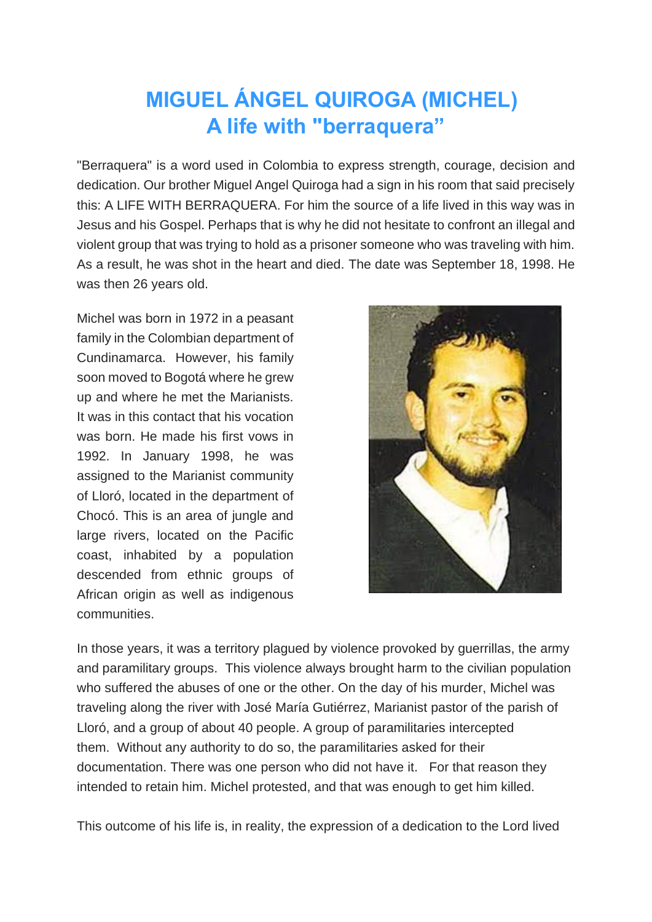## **MIGUEL ÁNGEL QUIROGA (MICHEL) A life with "berraquera"**

"Berraquera" is a word used in Colombia to express strength, courage, decision and dedication. Our brother Miguel Angel Quiroga had a sign in his room that said precisely this: A LIFE WITH BERRAQUERA. For him the source of a life lived in this way was in Jesus and his Gospel. Perhaps that is why he did not hesitate to confront an illegal and violent group that was trying to hold as a prisoner someone who was traveling with him. As a result, he was shot in the heart and died. The date was September 18, 1998. He was then 26 years old.

Michel was born in 1972 in a peasant family in the Colombian department of Cundinamarca. However, his family soon moved to Bogotá where he grew up and where he met the Marianists. It was in this contact that his vocation was born. He made his first vows in 1992. In January 1998, he was assigned to the Marianist community of Lloró, located in the department of Chocó. This is an area of jungle and large rivers, located on the Pacific coast, inhabited by a population descended from ethnic groups of African origin as well as indigenous communities.



In those years, it was a territory plagued by violence provoked by guerrillas, the army and paramilitary groups. This violence always brought harm to the civilian population who suffered the abuses of one or the other. On the day of his murder, Michel was traveling along the river with José María Gutiérrez, Marianist pastor of the parish of Lloró, and a group of about 40 people. A group of paramilitaries intercepted them. Without any authority to do so, the paramilitaries asked for their documentation. There was one person who did not have it. For that reason they intended to retain him. Michel protested, and that was enough to get him killed.

This outcome of his life is, in reality, the expression of a dedication to the Lord lived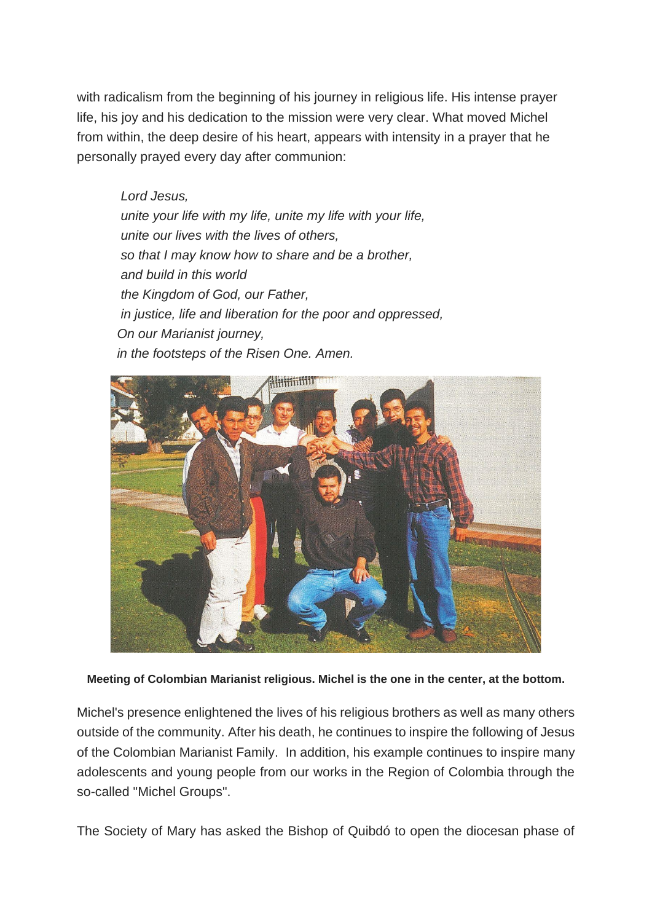with radicalism from the beginning of his journey in religious life. His intense prayer life, his joy and his dedication to the mission were very clear. What moved Michel from within, the deep desire of his heart, appears with intensity in a prayer that he personally prayed every day after communion:

 *Lord Jesus, unite your life with my life, unite my life with your life, unite our lives with the lives of others, so that I may know how to share and be a brother, and build in this world the Kingdom of God, our Father, in justice, life and liberation for the poor and oppressed, On our Marianist journey, in the footsteps of the Risen One. Amen.*



**Meeting of Colombian Marianist religious. Michel is the one in the center, at the bottom.**

Michel's presence enlightened the lives of his religious brothers as well as many others outside of the community. After his death, he continues to inspire the following of Jesus of the Colombian Marianist Family. In addition, his example continues to inspire many adolescents and young people from our works in the Region of Colombia through the so-called "Michel Groups".

The Society of Mary has asked the Bishop of Quibdó to open the diocesan phase of